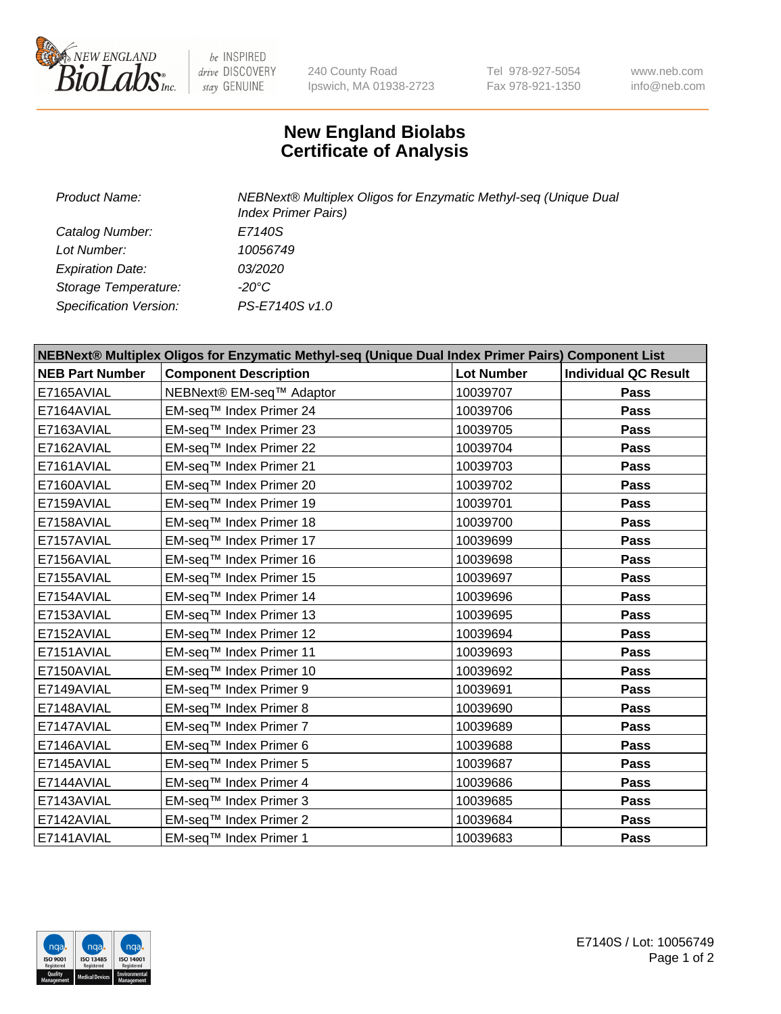

be INSPIRED drive DISCOVERY stay GENUINE

240 County Road Ipswich, MA 01938-2723 Tel 978-927-5054 Fax 978-921-1350 www.neb.com info@neb.com

## **New England Biolabs Certificate of Analysis**

| Product Name:           | NEBNext® Multiplex Oligos for Enzymatic Methyl-seq (Unique Dual<br><b>Index Primer Pairs)</b> |
|-------------------------|-----------------------------------------------------------------------------------------------|
| Catalog Number:         | E7140S                                                                                        |
| Lot Number:             | 10056749                                                                                      |
| <b>Expiration Date:</b> | <i>03/2020</i>                                                                                |
| Storage Temperature:    | $-20^{\circ}$ C                                                                               |
| Specification Version:  | PS-E7140S v1.0                                                                                |

| NEBNext® Multiplex Oligos for Enzymatic Methyl-seq (Unique Dual Index Primer Pairs) Component List |                              |                   |                             |  |
|----------------------------------------------------------------------------------------------------|------------------------------|-------------------|-----------------------------|--|
| <b>NEB Part Number</b>                                                                             | <b>Component Description</b> | <b>Lot Number</b> | <b>Individual QC Result</b> |  |
| E7165AVIAL                                                                                         | NEBNext® EM-seq™ Adaptor     | 10039707          | Pass                        |  |
| E7164AVIAL                                                                                         | EM-seq™ Index Primer 24      | 10039706          | <b>Pass</b>                 |  |
| E7163AVIAL                                                                                         | EM-seq™ Index Primer 23      | 10039705          | Pass                        |  |
| E7162AVIAL                                                                                         | EM-seq™ Index Primer 22      | 10039704          | <b>Pass</b>                 |  |
| E7161AVIAL                                                                                         | EM-seq™ Index Primer 21      | 10039703          | Pass                        |  |
| E7160AVIAL                                                                                         | EM-seq™ Index Primer 20      | 10039702          | <b>Pass</b>                 |  |
| E7159AVIAL                                                                                         | EM-seq™ Index Primer 19      | 10039701          | <b>Pass</b>                 |  |
| E7158AVIAL                                                                                         | EM-seq™ Index Primer 18      | 10039700          | <b>Pass</b>                 |  |
| E7157AVIAL                                                                                         | EM-seq™ Index Primer 17      | 10039699          | Pass                        |  |
| E7156AVIAL                                                                                         | EM-seq™ Index Primer 16      | 10039698          | <b>Pass</b>                 |  |
| E7155AVIAL                                                                                         | EM-seq™ Index Primer 15      | 10039697          | <b>Pass</b>                 |  |
| E7154AVIAL                                                                                         | EM-seq™ Index Primer 14      | 10039696          | <b>Pass</b>                 |  |
| E7153AVIAL                                                                                         | EM-seq™ Index Primer 13      | 10039695          | Pass                        |  |
| E7152AVIAL                                                                                         | EM-seq™ Index Primer 12      | 10039694          | <b>Pass</b>                 |  |
| E7151AVIAL                                                                                         | EM-seq™ Index Primer 11      | 10039693          | <b>Pass</b>                 |  |
| E7150AVIAL                                                                                         | EM-seq™ Index Primer 10      | 10039692          | <b>Pass</b>                 |  |
| E7149AVIAL                                                                                         | EM-seq™ Index Primer 9       | 10039691          | <b>Pass</b>                 |  |
| E7148AVIAL                                                                                         | EM-seq™ Index Primer 8       | 10039690          | <b>Pass</b>                 |  |
| E7147AVIAL                                                                                         | EM-seq™ Index Primer 7       | 10039689          | <b>Pass</b>                 |  |
| E7146AVIAL                                                                                         | EM-seq™ Index Primer 6       | 10039688          | <b>Pass</b>                 |  |
| E7145AVIAL                                                                                         | EM-seq™ Index Primer 5       | 10039687          | <b>Pass</b>                 |  |
| E7144AVIAL                                                                                         | EM-seq™ Index Primer 4       | 10039686          | <b>Pass</b>                 |  |
| E7143AVIAL                                                                                         | EM-seq™ Index Primer 3       | 10039685          | Pass                        |  |
| E7142AVIAL                                                                                         | EM-seq™ Index Primer 2       | 10039684          | <b>Pass</b>                 |  |
| E7141AVIAL                                                                                         | EM-seq™ Index Primer 1       | 10039683          | Pass                        |  |